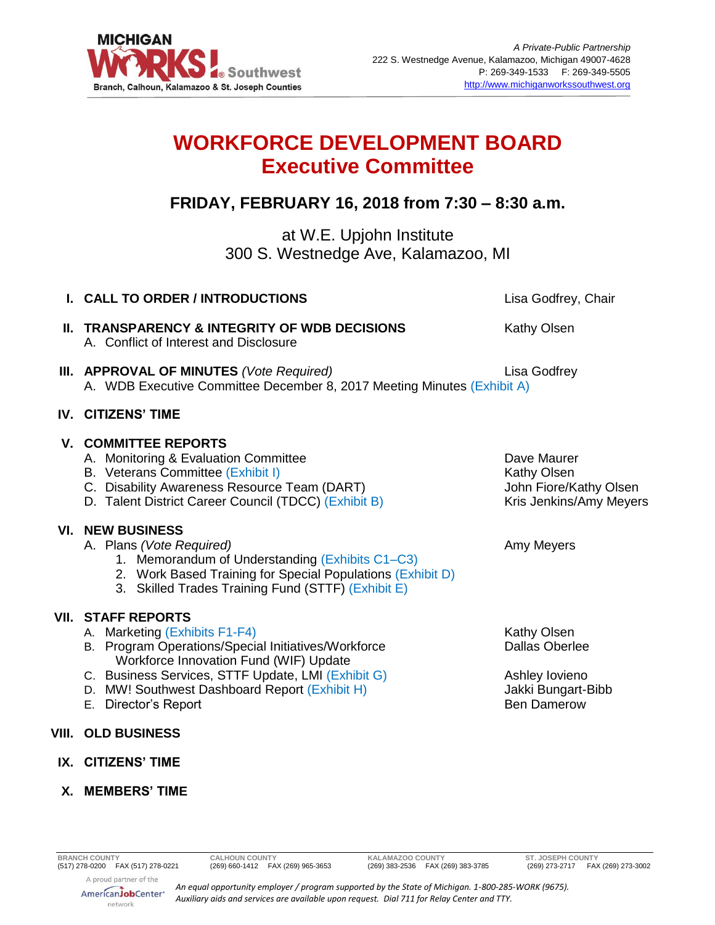

# **WORKFORCE DEVELOPMENT BOARD Executive Committee**

## **FRIDAY, FEBRUARY 16, 2018 from 7:30 – 8:30 a.m.**

at W.E. Upjohn Institute 300 S. Westnedge Ave, Kalamazoo, MI

| I. CALL TO ORDER / INTRODUCTIONS                                                                                                                                                                                                                                                           | Lisa Godfrey, Chair                                                                                       |
|--------------------------------------------------------------------------------------------------------------------------------------------------------------------------------------------------------------------------------------------------------------------------------------------|-----------------------------------------------------------------------------------------------------------|
| <b>II. TRANSPARENCY &amp; INTEGRITY OF WDB DECISIONS</b><br>A. Conflict of Interest and Disclosure                                                                                                                                                                                         | Kathy Olsen                                                                                               |
| III. APPROVAL OF MINUTES (Vote Required)<br>A. WDB Executive Committee December 8, 2017 Meeting Minutes (Exhibit A)                                                                                                                                                                        | Lisa Godfrey                                                                                              |
| <b>IV. CITIZENS' TIME</b>                                                                                                                                                                                                                                                                  |                                                                                                           |
| <b>V. COMMITTEE REPORTS</b><br>A. Monitoring & Evaluation Committee<br>B. Veterans Committee (Exhibit I)<br>C. Disability Awareness Resource Team (DART)<br>D. Talent District Career Council (TDCC) (Exhibit B)                                                                           | Dave Maurer<br>Kathy Olsen<br>John Fiore/Kathy Olsen<br>Kris Jenkins/Amy Meyers                           |
| <b>VI. NEW BUSINESS</b><br>A. Plans (Vote Required)<br>1. Memorandum of Understanding (Exhibits C1-C3)<br>2. Work Based Training for Special Populations (Exhibit D)<br>3. Skilled Trades Training Fund (STTF) (Exhibit E)                                                                 | Amy Meyers                                                                                                |
| <b>VII. STAFF REPORTS</b><br>A. Marketing (Exhibits F1-F4)<br>B. Program Operations/Special Initiatives/Workforce<br>Workforce Innovation Fund (WIF) Update<br>C. Business Services, STTF Update, LMI (Exhibit G)<br>D. MW! Southwest Dashboard Report (Exhibit H)<br>E. Director's Report | <b>Kathy Olsen</b><br><b>Dallas Oberlee</b><br>Ashley lovieno<br>Jakki Bungart-Bibb<br><b>Ben Damerow</b> |
| <b>VIII. OLD BUSINESS</b>                                                                                                                                                                                                                                                                  |                                                                                                           |
| IX. CITIZENS' TIME                                                                                                                                                                                                                                                                         |                                                                                                           |

**X. MEMBERS' TIME**

**BRANCH COUNTY CALHOUN COUNTY KALAMAZOO COUNTY ST. JOSEPH COUNTY** (517) 278-0200 FAX (517) 278-0221 (269) 660-1412 FAX (269) 965-3653 (269) 383-2536 FAX (269) 383-3785 (269) 273-2717 FAX (269) 273-3002

A proud partner of the AmericanJobCenter\* network

*An equal opportunity employer / program supported by the State of Michigan. 1-800-285-WORK (9675). Auxiliary aids and services are available upon request. Dial 711 for Relay Center and TTY.*